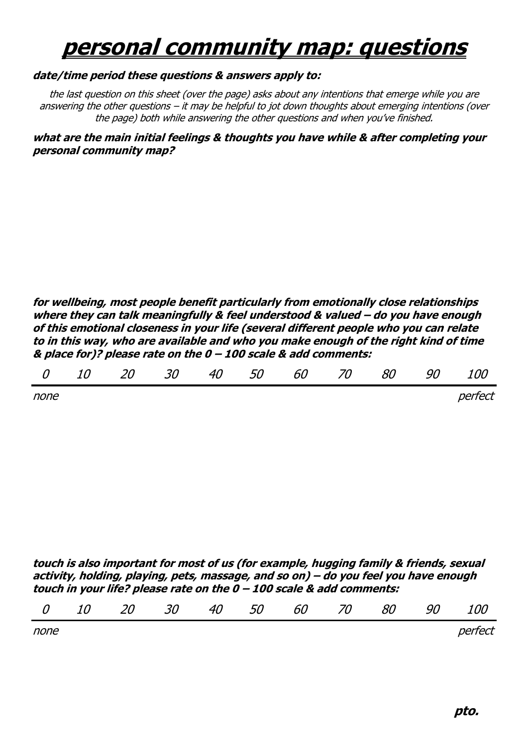## **personal community map: questions**

## **date/time period these questions & answers apply to:**

the last question on this sheet (over the page) asks about any intentions that emerge while you are answering the other questions – it may be helpful to jot down thoughts about emerging intentions (over the page) both while answering the other questions and when you've finished.

**what are the main initial feelings & thoughts you have while & after completing your personal community map?**

**for wellbeing, most people benefit particularly from emotionally close relationships where they can talk meaningfully & feel understood & valued – do you have enough of this emotional closeness in your life (several different people who you can relate to in this way, who are available and who you make enough of the right kind of time & place for)? please rate on the 0 – 100 scale & add comments:**

none is a perfect of the contract of the contract of the contract of the perfect of the contract of the contract of the contract of the contract of the contract of the contract of the contract of the contract of the contra

**touch is also important for most of us (for example, hugging family & friends, sexual activity, holding, playing, pets, massage, and so on) – do you feel you have enough touch in your life? please rate on the 0 – 100 scale & add comments:** 

|  |  |  | 0 10 20 30 40 50 60 70 80 90 100 |  |  |  |  |  |  |  |
|--|--|--|----------------------------------|--|--|--|--|--|--|--|
|--|--|--|----------------------------------|--|--|--|--|--|--|--|

none *perfect*